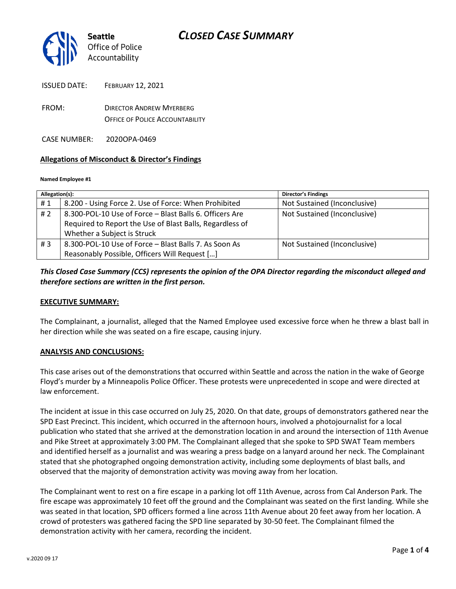

| <b>ISSUED DATE:</b> | <b>FEBRUARY 12, 2021</b>        |
|---------------------|---------------------------------|
| FROM:               | <b>DIRECTOR ANDREW MYERBERG</b> |

OFFICE OF POLICE ACCOUNTABILITY

CASE NUMBER: 2020OPA-0469

### **Allegations of Misconduct & Director's Findings**

#### **Named Employee #1**

| Allegation(s): |                                                          | <b>Director's Findings</b>   |
|----------------|----------------------------------------------------------|------------------------------|
| #1             | 8.200 - Using Force 2. Use of Force: When Prohibited     | Not Sustained (Inconclusive) |
| #2             | 8.300-POL-10 Use of Force - Blast Balls 6. Officers Are  | Not Sustained (Inconclusive) |
|                | Required to Report the Use of Blast Balls, Regardless of |                              |
|                | Whether a Subject is Struck                              |                              |
| #3             | 8.300-POL-10 Use of Force - Blast Balls 7. As Soon As    | Not Sustained (Inconclusive) |
|                | Reasonably Possible, Officers Will Request []            |                              |

## *This Closed Case Summary (CCS) represents the opinion of the OPA Director regarding the misconduct alleged and therefore sections are written in the first person.*

#### **EXECUTIVE SUMMARY:**

The Complainant, a journalist, alleged that the Named Employee used excessive force when he threw a blast ball in her direction while she was seated on a fire escape, causing injury.

#### **ANALYSIS AND CONCLUSIONS:**

This case arises out of the demonstrations that occurred within Seattle and across the nation in the wake of George Floyd's murder by a Minneapolis Police Officer. These protests were unprecedented in scope and were directed at law enforcement.

The incident at issue in this case occurred on July 25, 2020. On that date, groups of demonstrators gathered near the SPD East Precinct. This incident, which occurred in the afternoon hours, involved a photojournalist for a local publication who stated that she arrived at the demonstration location in and around the intersection of 11th Avenue and Pike Street at approximately 3:00 PM. The Complainant alleged that she spoke to SPD SWAT Team members and identified herself as a journalist and was wearing a press badge on a lanyard around her neck. The Complainant stated that she photographed ongoing demonstration activity, including some deployments of blast balls, and observed that the majority of demonstration activity was moving away from her location.

The Complainant went to rest on a fire escape in a parking lot off 11th Avenue, across from Cal Anderson Park. The fire escape was approximately 10 feet off the ground and the Complainant was seated on the first landing. While she was seated in that location, SPD officers formed a line across 11th Avenue about 20 feet away from her location. A crowd of protesters was gathered facing the SPD line separated by 30-50 feet. The Complainant filmed the demonstration activity with her camera, recording the incident.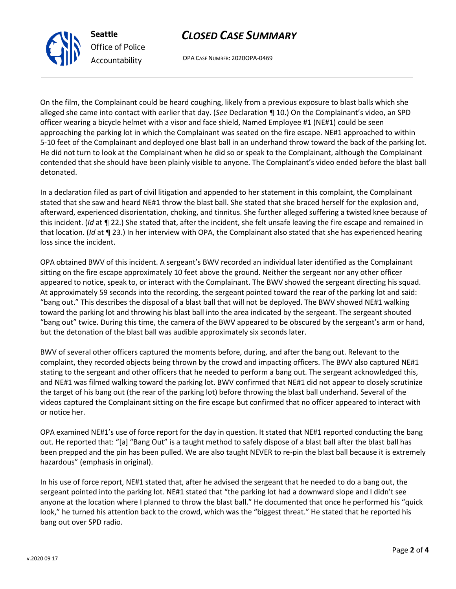## *CLOSED CASE SUMMARY*



OPA CASE NUMBER: 2020OPA-0469

On the film, the Complainant could be heard coughing, likely from a previous exposure to blast balls which she alleged she came into contact with earlier that day. (*See* Declaration ¶ 10.) On the Complainant's video, an SPD officer wearing a bicycle helmet with a visor and face shield, Named Employee #1 (NE#1) could be seen approaching the parking lot in which the Complainant was seated on the fire escape. NE#1 approached to within 5-10 feet of the Complainant and deployed one blast ball in an underhand throw toward the back of the parking lot. He did not turn to look at the Complainant when he did so or speak to the Complainant, although the Complainant contended that she should have been plainly visible to anyone. The Complainant's video ended before the blast ball detonated.

In a declaration filed as part of civil litigation and appended to her statement in this complaint, the Complainant stated that she saw and heard NE#1 throw the blast ball. She stated that she braced herself for the explosion and, afterward, experienced disorientation, choking, and tinnitus. She further alleged suffering a twisted knee because of this incident. (*Id* at ¶ 22.) She stated that, after the incident, she felt unsafe leaving the fire escape and remained in that location. (*Id* at ¶ 23.) In her interview with OPA, the Complainant also stated that she has experienced hearing loss since the incident.

OPA obtained BWV of this incident. A sergeant's BWV recorded an individual later identified as the Complainant sitting on the fire escape approximately 10 feet above the ground. Neither the sergeant nor any other officer appeared to notice, speak to, or interact with the Complainant. The BWV showed the sergeant directing his squad. At approximately 59 seconds into the recording, the sergeant pointed toward the rear of the parking lot and said: "bang out." This describes the disposal of a blast ball that will not be deployed. The BWV showed NE#1 walking toward the parking lot and throwing his blast ball into the area indicated by the sergeant. The sergeant shouted "bang out" twice. During this time, the camera of the BWV appeared to be obscured by the sergeant's arm or hand, but the detonation of the blast ball was audible approximately six seconds later.

BWV of several other officers captured the moments before, during, and after the bang out. Relevant to the complaint, they recorded objects being thrown by the crowd and impacting officers. The BWV also captured NE#1 stating to the sergeant and other officers that he needed to perform a bang out. The sergeant acknowledged this, and NE#1 was filmed walking toward the parking lot. BWV confirmed that NE#1 did not appear to closely scrutinize the target of his bang out (the rear of the parking lot) before throwing the blast ball underhand. Several of the videos captured the Complainant sitting on the fire escape but confirmed that no officer appeared to interact with or notice her.

OPA examined NE#1's use of force report for the day in question. It stated that NE#1 reported conducting the bang out. He reported that: "[a] "Bang Out" is a taught method to safely dispose of a blast ball after the blast ball has been prepped and the pin has been pulled. We are also taught NEVER to re-pin the blast ball because it is extremely hazardous" (emphasis in original).

In his use of force report, NE#1 stated that, after he advised the sergeant that he needed to do a bang out, the sergeant pointed into the parking lot. NE#1 stated that "the parking lot had a downward slope and I didn't see anyone at the location where I planned to throw the blast ball." He documented that once he performed his "quick look," he turned his attention back to the crowd, which was the "biggest threat." He stated that he reported his bang out over SPD radio.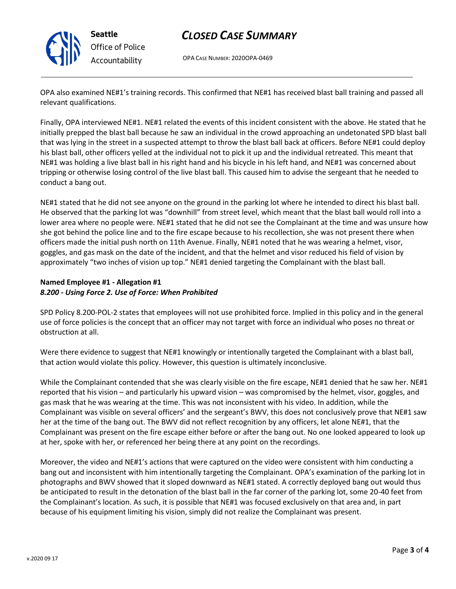

# *CLOSED CASE SUMMARY*

OPA CASE NUMBER: 2020OPA-0469

OPA also examined NE#1's training records. This confirmed that NE#1 has received blast ball training and passed all relevant qualifications.

Finally, OPA interviewed NE#1. NE#1 related the events of this incident consistent with the above. He stated that he initially prepped the blast ball because he saw an individual in the crowd approaching an undetonated SPD blast ball that was lying in the street in a suspected attempt to throw the blast ball back at officers. Before NE#1 could deploy his blast ball, other officers yelled at the individual not to pick it up and the individual retreated. This meant that NE#1 was holding a live blast ball in his right hand and his bicycle in his left hand, and NE#1 was concerned about tripping or otherwise losing control of the live blast ball. This caused him to advise the sergeant that he needed to conduct a bang out.

NE#1 stated that he did not see anyone on the ground in the parking lot where he intended to direct his blast ball. He observed that the parking lot was "downhill" from street level, which meant that the blast ball would roll into a lower area where no people were. NE#1 stated that he did not see the Complainant at the time and was unsure how she got behind the police line and to the fire escape because to his recollection, she was not present there when officers made the initial push north on 11th Avenue. Finally, NE#1 noted that he was wearing a helmet, visor, goggles, and gas mask on the date of the incident, and that the helmet and visor reduced his field of vision by approximately "two inches of vision up top." NE#1 denied targeting the Complainant with the blast ball.

## **Named Employee #1 - Allegation #1** *8.200 - Using Force 2. Use of Force: When Prohibited*

SPD Policy 8.200-POL-2 states that employees will not use prohibited force. Implied in this policy and in the general use of force policies is the concept that an officer may not target with force an individual who poses no threat or obstruction at all.

Were there evidence to suggest that NE#1 knowingly or intentionally targeted the Complainant with a blast ball, that action would violate this policy. However, this question is ultimately inconclusive.

While the Complainant contended that she was clearly visible on the fire escape, NE#1 denied that he saw her. NE#1 reported that his vision – and particularly his upward vision – was compromised by the helmet, visor, goggles, and gas mask that he was wearing at the time. This was not inconsistent with his video. In addition, while the Complainant was visible on several officers' and the sergeant's BWV, this does not conclusively prove that NE#1 saw her at the time of the bang out. The BWV did not reflect recognition by any officers, let alone NE#1, that the Complainant was present on the fire escape either before or after the bang out. No one looked appeared to look up at her, spoke with her, or referenced her being there at any point on the recordings.

Moreover, the video and NE#1's actions that were captured on the video were consistent with him conducting a bang out and inconsistent with him intentionally targeting the Complainant. OPA's examination of the parking lot in photographs and BWV showed that it sloped downward as NE#1 stated. A correctly deployed bang out would thus be anticipated to result in the detonation of the blast ball in the far corner of the parking lot, some 20-40 feet from the Complainant's location. As such, it is possible that NE#1 was focused exclusively on that area and, in part because of his equipment limiting his vision, simply did not realize the Complainant was present.